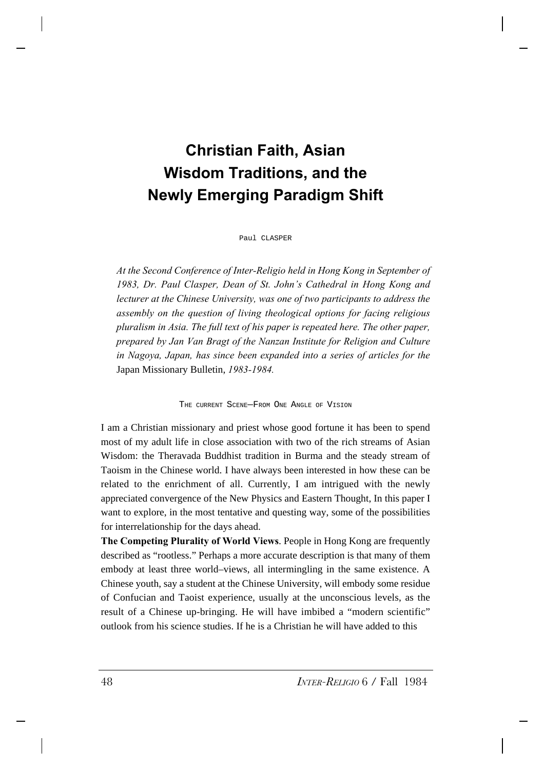## **Christian Faith, Asian Wisdom Traditions, and the Newly Emerging Paradigm Shift**

Paul CLASPER

*At the Second Conference of Inter-Religio held in Hong Kong in September of 1983, Dr. Paul Clasper, Dean of St. John's Cathedral in Hong Kong and lecturer at the Chinese University, was one of two participants to address the assembly on the question of living theological options for facing religious pluralism in Asia. The full text of his paper is repeated here. The other paper, prepared by Jan Van Bragt of the Nanzan Institute for Religion and Culture in Nagoya, Japan, has since been expanded into a series of articles for the* Japan Missionary Bulletin, *1983-1984.*

THE CURRENT SCENE—FROM ONE ANGLE OF VISION

I am a Christian missionary and priest whose good fortune it has been to spend most of my adult life in close association with two of the rich streams of Asian Wisdom: the Theravada Buddhist tradition in Burma and the steady stream of Taoism in the Chinese world. I have always been interested in how these can be related to the enrichment of all. Currently, I am intrigued with the newly appreciated convergence of the New Physics and Eastern Thought, In this paper I want to explore, in the most tentative and questing way, some of the possibilities for interrelationship for the days ahead.

**The Competing Plurality of World Views**. People in Hong Kong are frequently described as "rootless." Perhaps a more accurate description is that many of them embody at least three world–views, all intermingling in the same existence. A Chinese youth, say a student at the Chinese University, will embody some residue of Confucian and Taoist experience, usually at the unconscious levels, as the result of a Chinese up-bringing. He will have imbibed a "modern scientific" outlook from his science studies. If he is a Christian he will have added to this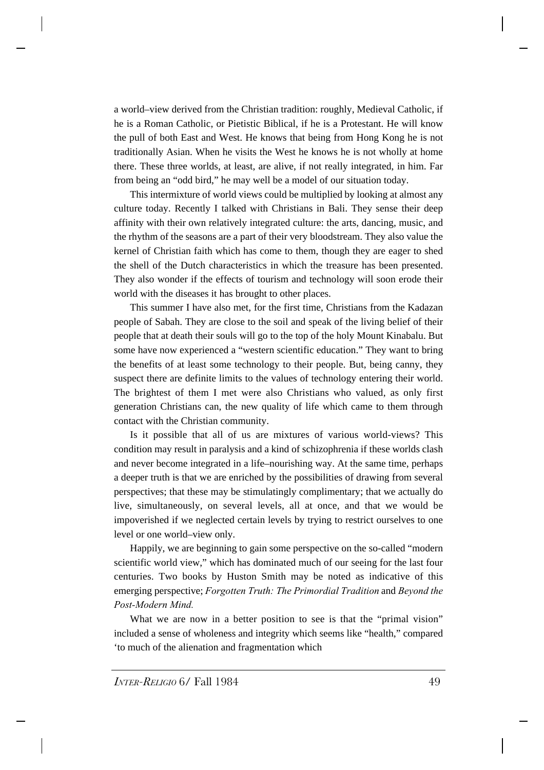a world–view derived from the Christian tradition: roughly, Medieval Catholic, if he is a Roman Catholic, or Pietistic Biblical, if he is a Protestant. He will know the pull of both East and West. He knows that being from Hong Kong he is not traditionally Asian. When he visits the West he knows he is not wholly at home there. These three worlds, at least, are alive, if not really integrated, in him. Far from being an "odd bird," he may well be a model of our situation today.

This intermixture of world views could be multiplied by looking at almost any culture today. Recently I talked with Christians in Bali. They sense their deep affinity with their own relatively integrated culture: the arts, dancing, music, and the rhythm of the seasons are a part of their very bloodstream. They also value the kernel of Christian faith which has come to them, though they are eager to shed the shell of the Dutch characteristics in which the treasure has been presented. They also wonder if the effects of tourism and technology will soon erode their world with the diseases it has brought to other places.

This summer I have also met, for the first time, Christians from the Kadazan people of Sabah. They are close to the soil and speak of the living belief of their people that at death their souls will go to the top of the holy Mount Kinabalu. But some have now experienced a "western scientific education." They want to bring the benefits of at least some technology to their people. But, being canny, they suspect there are definite limits to the values of technology entering their world. The brightest of them I met were also Christians who valued, as only first generation Christians can, the new quality of life which came to them through contact with the Christian community.

Is it possible that all of us are mixtures of various world-views? This condition may result in paralysis and a kind of schizophrenia if these worlds clash and never become integrated in a life–nourishing way. At the same time, perhaps a deeper truth is that we are enriched by the possibilities of drawing from several perspectives; that these may be stimulatingly complimentary; that we actually do live, simultaneously, on several levels, all at once, and that we would be impoverished if we neglected certain levels by trying to restrict ourselves to one level or one world–view only.

Happily, we are beginning to gain some perspective on the so-called "modern scientific world view," which has dominated much of our seeing for the last four centuries. Two books by Huston Smith may be noted as indicative of this emerging perspective; *Forgotten Truth: The Primordial Tradition* and *Beyond the Post-Modern Mind.*

What we are now in a better position to see is that the "primal vision" included a sense of wholeness and integrity which seems like "health," compared 'to much of the alienation and fragmentation which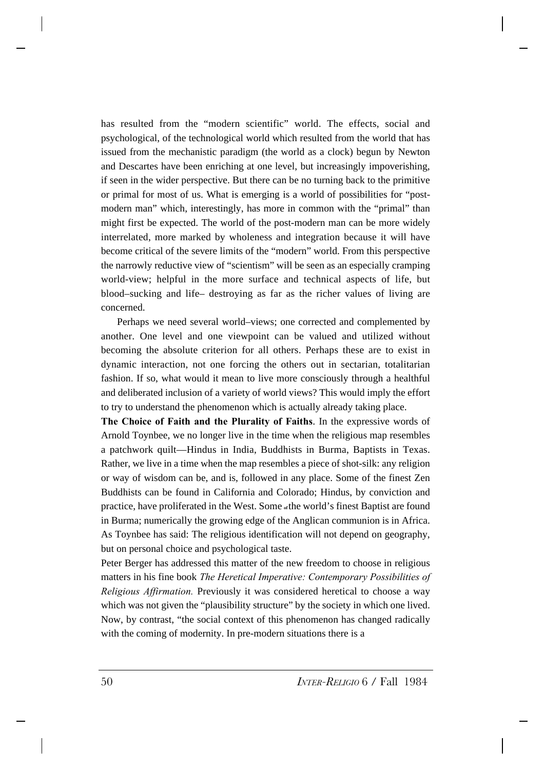has resulted from the "modern scientific" world. The effects, social and psychological, of the technological world which resulted from the world that has issued from the mechanistic paradigm (the world as a clock) begun by Newton and Descartes have been enriching at one level, but increasingly impoverishing, if seen in the wider perspective. But there can be no turning back to the primitive or primal for most of us. What is emerging is a world of possibilities for "postmodern man" which, interestingly, has more in common with the "primal" than might first be expected. The world of the post-modern man can be more widely interrelated, more marked by wholeness and integration because it will have become critical of the severe limits of the "modern" world. From this perspective the narrowly reductive view of "scientism" will be seen as an especially cramping world-view; helpful in the more surface and technical aspects of life, but blood–sucking and life– destroying as far as the richer values of living are concerned.

Perhaps we need several world–views; one corrected and complemented by another. One level and one viewpoint can be valued and utilized without becoming the absolute criterion for all others. Perhaps these are to exist in dynamic interaction, not one forcing the others out in sectarian, totalitarian fashion. If so, what would it mean to live more consciously through a healthful and deliberated inclusion of a variety of world views? This would imply the effort to try to understand the phenomenon which is actually already taking place.

**The Choice of Faith and the Plurality of Faiths**. In the expressive words of Arnold Toynbee, we no longer live in the time when the religious map resembles a patchwork quilt—Hindus in India, Buddhists in Burma, Baptists in Texas. Rather, we live in a time when the map resembles a piece of shot-silk: any religion or way of wisdom can be, and is, followed in any place. Some of the finest Zen Buddhists can be found in California and Colorado; Hindus, by conviction and practice, have proliferated in the West. Some **of** the world's finest Baptist are found in Burma; numerically the growing edge of the Anglican communion is in Africa. As Toynbee has said: The religious identification will not depend on geography, but on personal choice and psychological taste.

Peter Berger has addressed this matter of the new freedom to choose in religious matters in his fine book *The Heretical Imperative: Contemporary Possibilities of Religious Affirmation.* Previously it was considered heretical to choose a way which was not given the "plausibility structure" by the society in which one lived. Now, by contrast, "the social context of this phenomenon has changed radically with the coming of modernity. In pre-modern situations there is a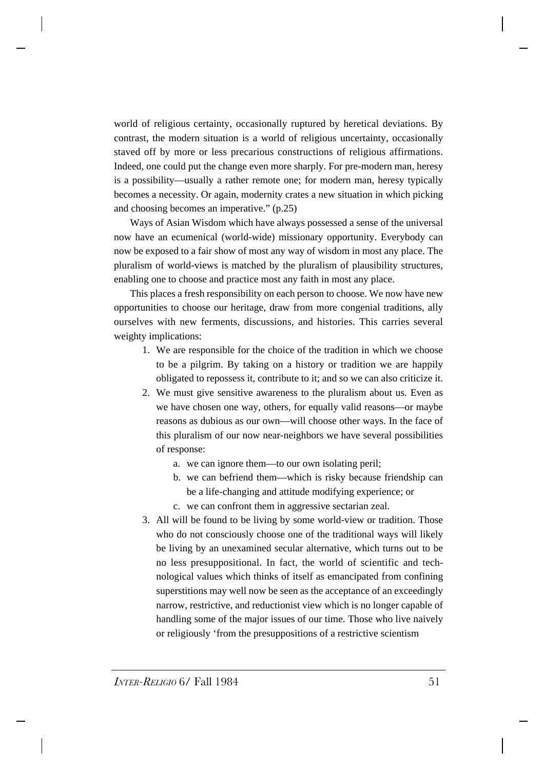world of religious certainty, occasionally ruptured by heretical deviations. By contrast, the modern situation is a world of religious uncertainty, occasionally staved off by more or less precarious constructions of religious affirmations. Indeed, one could put the change even more sharply. For pre-modern man, heresy is a possibility—usually a rather remote one; for modern man, heresy typically becomes a necessity. Or again, modernity crates a new situation in which picking and choosing becomes an imperative." (p.25)

Ways of Asian Wisdom which have always possessed a sense of the universal now have an ecumenical (world-wide) missionary opportunity. Everybody can now be exposed to a fair show of most any way of wisdom in most any place. The pluralism of world-views is matched by the pluralism of plausibility structures, enabling one to choose and practice most any faith in most any place.

This places a fresh responsibility on each person to choose. We now have new opportunities to choose our heritage, draw from more congenial traditions, ally ourselves with new ferments, discussions, and histories. This carries several weighty implications:

- 1. We are responsible for the choice of the tradition in which we choose to be a pilgrim. By taking on a history or tradition we are happily obligated to repossess it, contribute to it; and so we can also criticize it.
- 2. We must give sensitive awareness to the pluralism about us. Even as we have chosen one way, others, for equally valid reasons—or maybe reasons as dubious as our own—will choose other ways. In the face of this pluralism of our now near-neighbors we have several possibilities of response:
	- a. we can ignore them—to our own isolating peril;
	- b. we can befriend them—which is risky because friendship can be a life-changing and attitude modifying experience; or
	- c. we can confront them in aggressive sectarian zeal.
- 3. All will be found to be living by some world-view or tradition. Those who do not consciously choose one of the traditional ways will likely be living by an unexamined secular alternative, which turns out to be no less presuppositional. In fact, the world of scientific and technological values which thinks of itself as emancipated from confining superstitions may well now be seen as the acceptance of an exceedingly narrow, restrictive, and reductionist view which is no longer capable of handling some of the major issues of our time. Those who live naively or religiously 'from the presuppositions of a restrictive scientism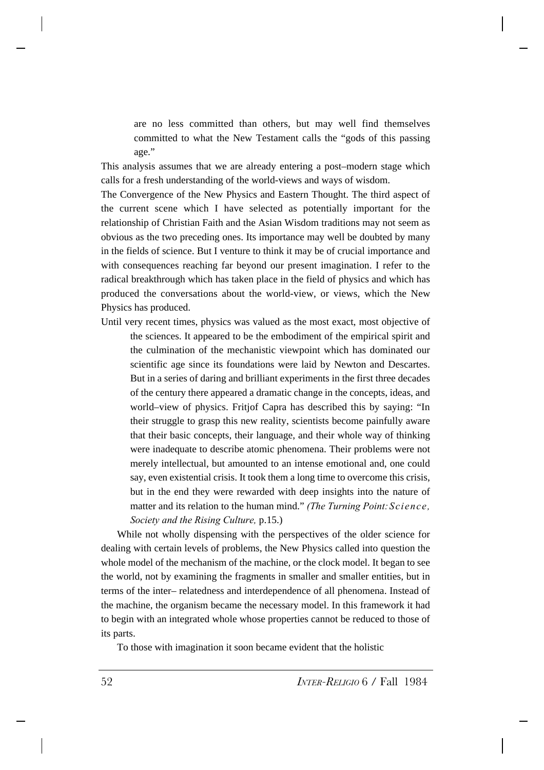are no less committed than others, but may well find themselves committed to what the New Testament calls the "gods of this passing age."

This analysis assumes that we are already entering a post–modern stage which calls for a fresh understanding of the world-views and ways of wisdom.

The Convergence of the New Physics and Eastern Thought. The third aspect of the current scene which I have selected as potentially important for the relationship of Christian Faith and the Asian Wisdom traditions may not seem as obvious as the two preceding ones. Its importance may well be doubted by many in the fields of science. But I venture to think it may be of crucial importance and with consequences reaching far beyond our present imagination. I refer to the radical breakthrough which has taken place in the field of physics and which has produced the conversations about the world-view, or views, which the New Physics has produced.

Until very recent times, physics was valued as the most exact, most objective of the sciences. It appeared to be the embodiment of the empirical spirit and the culmination of the mechanistic viewpoint which has dominated our scientific age since its foundations were laid by Newton and Descartes. But in a series of daring and brilliant experiments in the first three decades of the century there appeared a dramatic change in the concepts, ideas, and world–view of physics. Fritjof Capra has described this by saying: "In their struggle to grasp this new reality, scientists become painfully aware that their basic concepts, their language, and their whole way of thinking were inadequate to describe atomic phenomena. Their problems were not merely intellectual, but amounted to an intense emotional and, one could say, even existential crisis. It took them a long time to overcome this crisis, but in the end they were rewarded with deep insights into the nature of matter and its relation to the human mind." *(The Turning Point: Science, Society and the Rising Culture,* p.15.)

While not wholly dispensing with the perspectives of the older science for dealing with certain levels of problems, the New Physics called into question the whole model of the mechanism of the machine, or the clock model. It began to see the world, not by examining the fragments in smaller and smaller entities, but in terms of the inter– relatedness and interdependence of all phenomena. Instead of the machine, the organism became the necessary model. In this framework it had to begin with an integrated whole whose properties cannot be reduced to those of its parts.

To those with imagination it soon became evident that the holistic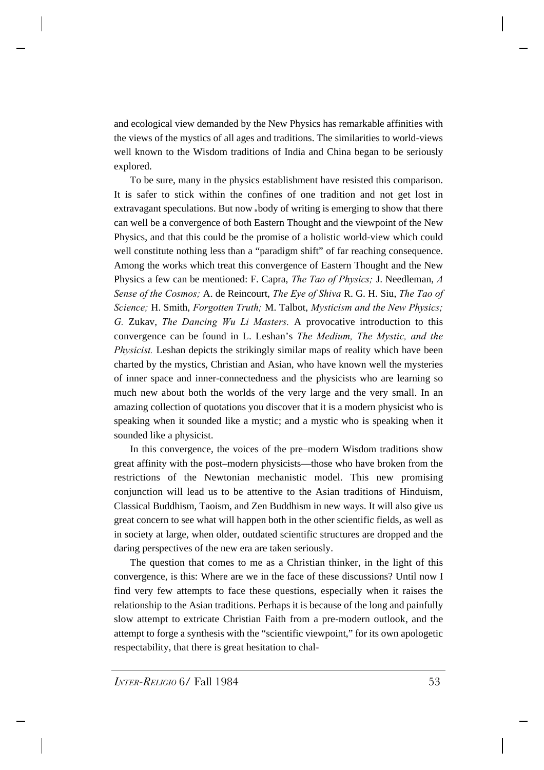and ecological view demanded by the New Physics has remarkable affinities with the views of the mystics of all ages and traditions. The similarities to world-views well known to the Wisdom traditions of India and China began to be seriously explored.

To be sure, many in the physics establishment have resisted this comparison. It is safer to stick within the confines of one tradition and not get lost in extravagant speculations. But now **a** body of writing is emerging to show that there can well be a convergence of both Eastern Thought and the viewpoint of the New Physics, and that this could be the promise of a holistic world-view which could well constitute nothing less than a "paradigm shift" of far reaching consequence. Among the works which treat this convergence of Eastern Thought and the New Physics a few can be mentioned: F. Capra, *The Tao of Physics;* J. Needleman, *A Sense of the Cosmos;* A. de Reincourt, *The Eye of Shiva* R. G. H. Siu, *The Tao of Science;* H. Smith, *Forgotten Truth;* M. Talbot, *Mysticism and the New Physics; G.* Zukav, *The Dancing Wu Li Masters.* A provocative introduction to this convergence can be found in L. Leshan's *The Medium, The Mystic, and the Physicist.* Leshan depicts the strikingly similar maps of reality which have been charted by the mystics, Christian and Asian, who have known well the mysteries of inner space and inner-connectedness and the physicists who are learning so much new about both the worlds of the very large and the very small. In an amazing collection of quotations you discover that it is a modern physicist who is speaking when it sounded like a mystic; and a mystic who is speaking when it sounded like a physicist.

In this convergence, the voices of the pre–modern Wisdom traditions show great affinity with the post–modern physicists—those who have broken from the restrictions of the Newtonian mechanistic model. This new promising conjunction will lead us to be attentive to the Asian traditions of Hinduism, Classical Buddhism, Taoism, and Zen Buddhism in new ways. It will also give us great concern to see what will happen both in the other scientific fields, as well as in society at large, when older, outdated scientific structures are dropped and the daring perspectives of the new era are taken seriously.

The question that comes to me as a Christian thinker, in the light of this convergence, is this: Where are we in the face of these discussions? Until now I find very few attempts to face these questions, especially when it raises the relationship to the Asian traditions. Perhaps it is because of the long and painfully slow attempt to extricate Christian Faith from a pre-modern outlook, and the attempt to forge a synthesis with the "scientific viewpoint," for its own apologetic respectability, that there is great hesitation to chal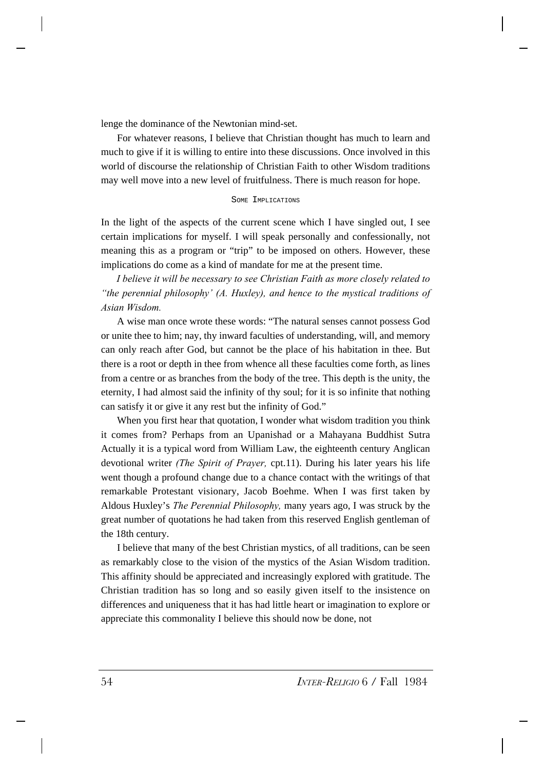lenge the dominance of the Newtonian mind-set.

For whatever reasons, I believe that Christian thought has much to learn and much to give if it is willing to entire into these discussions. Once involved in this world of discourse the relationship of Christian Faith to other Wisdom traditions may well move into a new level of fruitfulness. There is much reason for hope.

## SOME IMPLICATIONS

In the light of the aspects of the current scene which I have singled out, I see certain implications for myself. I will speak personally and confessionally, not meaning this as a program or "trip" to be imposed on others. However, these implications do come as a kind of mandate for me at the present time.

*I believe it will be necessary to see Christian Faith as more closely related to "the perennial philosophy' (A. Huxley), and hence to the mystical traditions of Asian Wisdom.*

A wise man once wrote these words: "The natural senses cannot possess God or unite thee to him; nay, thy inward faculties of understanding, will, and memory can only reach after God, but cannot be the place of his habitation in thee. But there is a root or depth in thee from whence all these faculties come forth, as lines from a centre or as branches from the body of the tree. This depth is the unity, the eternity, I had almost said the infinity of thy soul; for it is so infinite that nothing can satisfy it or give it any rest but the infinity of God."

When you first hear that quotation, I wonder what wisdom tradition you think it comes from? Perhaps from an Upanishad or a Mahayana Buddhist Sutra Actually it is a typical word from William Law, the eighteenth century Anglican devotional writer *(The Spirit of Prayer,* cpt.11). During his later years his life went though a profound change due to a chance contact with the writings of that remarkable Protestant visionary, Jacob Boehme. When I was first taken by Aldous Huxley's *The Perennial Philosophy,* many years ago, I was struck by the great number of quotations he had taken from this reserved English gentleman of the 18th century.

I believe that many of the best Christian mystics, of all traditions, can be seen as remarkably close to the vision of the mystics of the Asian Wisdom tradition. This affinity should be appreciated and increasingly explored with gratitude. The Christian tradition has so long and so easily given itself to the insistence on differences and uniqueness that it has had little heart or imagination to explore or appreciate this commonality I believe this should now be done, not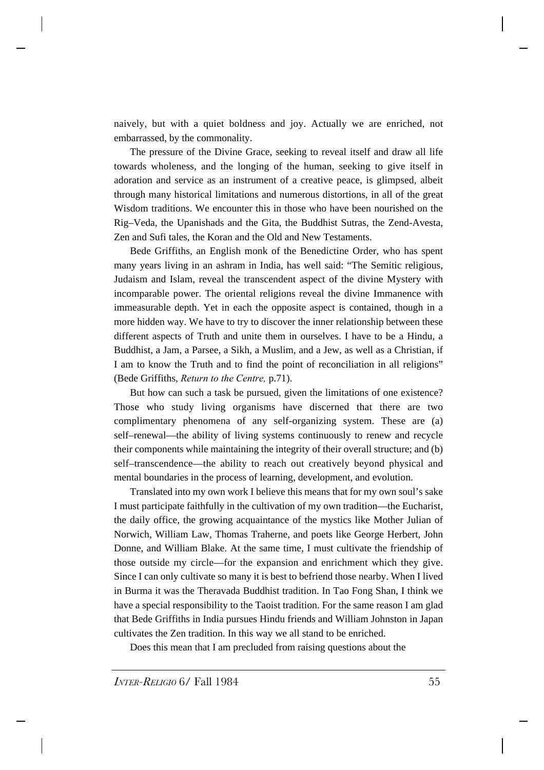naively, but with a quiet boldness and joy. Actually we are enriched, not embarrassed, by the commonality.

The pressure of the Divine Grace, seeking to reveal itself and draw all life towards wholeness, and the longing of the human, seeking to give itself in adoration and service as an instrument of a creative peace, is glimpsed, albeit through many historical limitations and numerous distortions, in all of the great Wisdom traditions. We encounter this in those who have been nourished on the Rig–Veda, the Upanishads and the Gita, the Buddhist Sutras, the Zend-Avesta, Zen and Sufi tales, the Koran and the Old and New Testaments.

Bede Griffiths, an English monk of the Benedictine Order, who has spent many years living in an ashram in India, has well said: "The Semitic religious, Judaism and Islam, reveal the transcendent aspect of the divine Mystery with incomparable power. The oriental religions reveal the divine Immanence with immeasurable depth. Yet in each the opposite aspect is contained, though in a more hidden way. We have to try to discover the inner relationship between these different aspects of Truth and unite them in ourselves. I have to be a Hindu, a Buddhist, a Jam, a Parsee, a Sikh, a Muslim, and a Jew, as well as a Christian, if I am to know the Truth and to find the point of reconciliation in all religions" (Bede Griffiths, *Return to the Centre,* p.71).

But how can such a task be pursued, given the limitations of one existence? Those who study living organisms have discerned that there are two complimentary phenomena of any self-organizing system. These are (a) self–renewal—the ability of living systems continuously to renew and recycle their components while maintaining the integrity of their overall structure; and (b) self–transcendence—the ability to reach out creatively beyond physical and mental boundaries in the process of learning, development, and evolution.

Translated into my own work I believe this means that for my own soul's sake I must participate faithfully in the cultivation of my own tradition—the Eucharist, the daily office, the growing acquaintance of the mystics like Mother Julian of Norwich, William Law, Thomas Traherne, and poets like George Herbert, John Donne, and William Blake. At the same time, I must cultivate the friendship of those outside my circle—for the expansion and enrichment which they give. Since I can only cultivate so many it is best to befriend those nearby. When I lived in Burma it was the Theravada Buddhist tradition. In Tao Fong Shan, I think we have a special responsibility to the Taoist tradition. For the same reason I am glad that Bede Griffiths in India pursues Hindu friends and William Johnston in Japan cultivates the Zen tradition. In this way we all stand to be enriched.

Does this mean that I am precluded from raising questions about the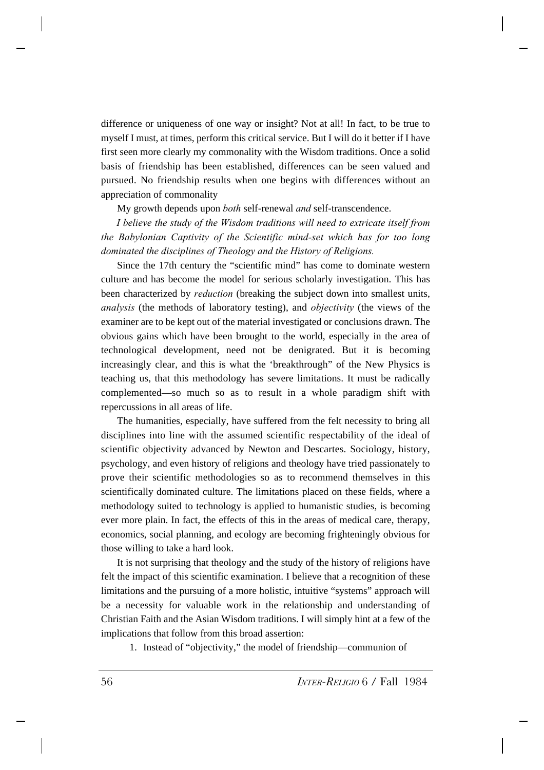difference or uniqueness of one way or insight? Not at all! In fact, to be true to myself I must, at times, perform this critical service. But I will do it better if I have first seen more clearly my commonality with the Wisdom traditions. Once a solid basis of friendship has been established, differences can be seen valued and pursued. No friendship results when one begins with differences without an appreciation of commonality

My growth depends upon *both* self-renewal *and* self-transcendence.

*I believe the study of the Wisdom traditions will need to extricate itself from the Babylonian Captivity of the Scientific mind-set which has for too long dominated the disciplines of Theology and the History of Religions.*

Since the 17th century the "scientific mind" has come to dominate western culture and has become the model for serious scholarly investigation. This has been characterized by *reduction* (breaking the subject down into smallest units, *analysis* (the methods of laboratory testing), and *objectivity* (the views of the examiner are to be kept out of the material investigated or conclusions drawn. The obvious gains which have been brought to the world, especially in the area of technological development, need not be denigrated. But it is becoming increasingly clear, and this is what the 'breakthrough" of the New Physics is teaching us, that this methodology has severe limitations. It must be radically complemented—so much so as to result in a whole paradigm shift with repercussions in all areas of life.

The humanities, especially, have suffered from the felt necessity to bring all disciplines into line with the assumed scientific respectability of the ideal of scientific objectivity advanced by Newton and Descartes. Sociology, history, psychology, and even history of religions and theology have tried passionately to prove their scientific methodologies so as to recommend themselves in this scientifically dominated culture. The limitations placed on these fields, where a methodology suited to technology is applied to humanistic studies, is becoming ever more plain. In fact, the effects of this in the areas of medical care, therapy, economics, social planning, and ecology are becoming frighteningly obvious for those willing to take a hard look.

It is not surprising that theology and the study of the history of religions have felt the impact of this scientific examination. I believe that a recognition of these limitations and the pursuing of a more holistic, intuitive "systems" approach will be a necessity for valuable work in the relationship and understanding of Christian Faith and the Asian Wisdom traditions. I will simply hint at a few of the implications that follow from this broad assertion:

1. Instead of "objectivity," the model of friendship—communion of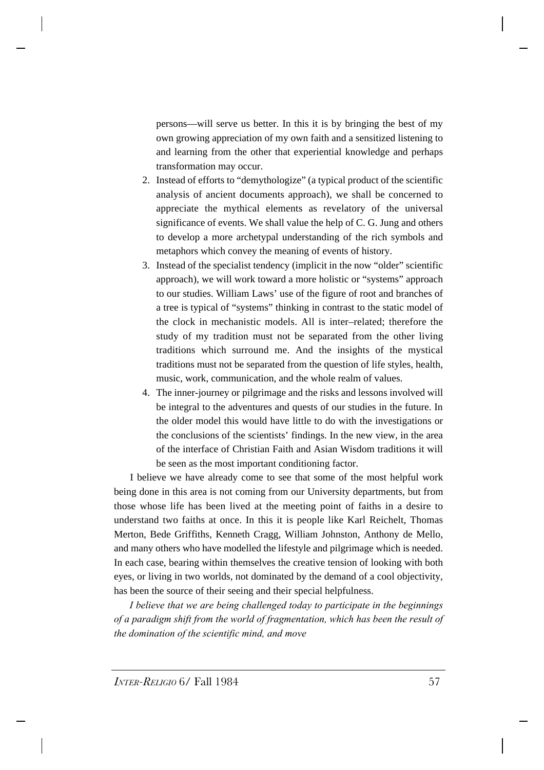persons—will serve us better. In this it is by bringing the best of my own growing appreciation of my own faith and a sensitized listening to and learning from the other that experiential knowledge and perhaps transformation may occur.

- 2. Instead of efforts to "demythologize" (a typical product of the scientific analysis of ancient documents approach), we shall be concerned to appreciate the mythical elements as revelatory of the universal significance of events. We shall value the help of C. G. Jung and others to develop a more archetypal understanding of the rich symbols and metaphors which convey the meaning of events of history.
- 3. Instead of the specialist tendency (implicit in the now "older" scientific approach), we will work toward a more holistic or "systems" approach to our studies. William Laws' use of the figure of root and branches of a tree is typical of "systems" thinking in contrast to the static model of the clock in mechanistic models. All is inter–related; therefore the study of my tradition must not be separated from the other living traditions which surround me. And the insights of the mystical traditions must not be separated from the question of life styles, health, music, work, communication, and the whole realm of values.
- 4. The inner-journey or pilgrimage and the risks and lessons involved will be integral to the adventures and quests of our studies in the future. In the older model this would have little to do with the investigations or the conclusions of the scientists' findings. In the new view, in the area of the interface of Christian Faith and Asian Wisdom traditions it will be seen as the most important conditioning factor.

I believe we have already come to see that some of the most helpful work being done in this area is not coming from our University departments, but from those whose life has been lived at the meeting point of faiths in a desire to understand two faiths at once. In this it is people like Karl Reichelt, Thomas Merton, Bede Griffiths, Kenneth Cragg, William Johnston, Anthony de Mello, and many others who have modelled the lifestyle and pilgrimage which is needed. In each case, bearing within themselves the creative tension of looking with both eyes, or living in two worlds, not dominated by the demand of a cool objectivity, has been the source of their seeing and their special helpfulness.

*I believe that we are being challenged today to participate in the beginnings of a paradigm shift from the world of fragmentation, which has been the result of the domination of the scientific mind, and move*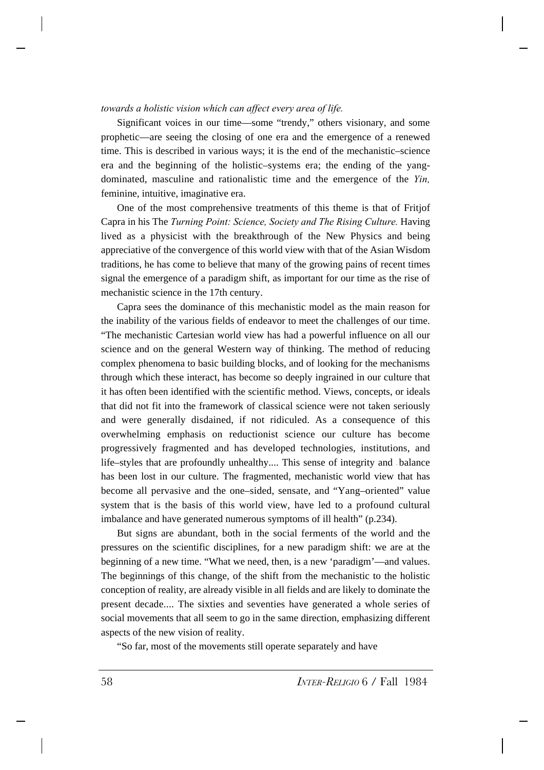## *towards a holistic vision which can affect every area of life.*

Significant voices in our time—some "trendy," others visionary, and some prophetic—are seeing the closing of one era and the emergence of a renewed time. This is described in various ways; it is the end of the mechanistic–science era and the beginning of the holistic–systems era; the ending of the yangdominated, masculine and rationalistic time and the emergence of the *Yin,* feminine, intuitive, imaginative era.

One of the most comprehensive treatments of this theme is that of Fritjof Capra in his The *Turning Point: Science, Society and The Rising Culture.* Having lived as a physicist with the breakthrough of the New Physics and being appreciative of the convergence of this world view with that of the Asian Wisdom traditions, he has come to believe that many of the growing pains of recent times signal the emergence of a paradigm shift, as important for our time as the rise of mechanistic science in the 17th century.

Capra sees the dominance of this mechanistic model as the main reason for the inability of the various fields of endeavor to meet the challenges of our time. "The mechanistic Cartesian world view has had a powerful influence on all our science and on the general Western way of thinking. The method of reducing complex phenomena to basic building blocks, and of looking for the mechanisms through which these interact, has become so deeply ingrained in our culture that it has often been identified with the scientific method. Views, concepts, or ideals that did not fit into the framework of classical science were not taken seriously and were generally disdained, if not ridiculed. As a consequence of this overwhelming emphasis on reductionist science our culture has become progressively fragmented and has developed technologies, institutions, and life–styles that are profoundly unhealthy.... This sense of integrity and - balance has been lost in our culture. The fragmented, mechanistic world view that has become all pervasive and the one–sided, sensate, and "Yang–oriented" value system that is the basis of this world view, have led to a profound cultural imbalance and have generated numerous symptoms of ill health" (p.234).

But signs are abundant, both in the social ferments of the world and the pressures on the scientific disciplines, for a new paradigm shift: we are at the beginning of a new time. "What we need, then, is a new 'paradigm'—and values. The beginnings of this change, of the shift from the mechanistic to the holistic conception of reality, are already visible in all fields and are likely to dominate the present decade.... The sixties and seventies have generated a whole series of social movements that all seem to go in the same direction, emphasizing different aspects of the new vision of reality.

"So far, most of the movements still operate separately and have